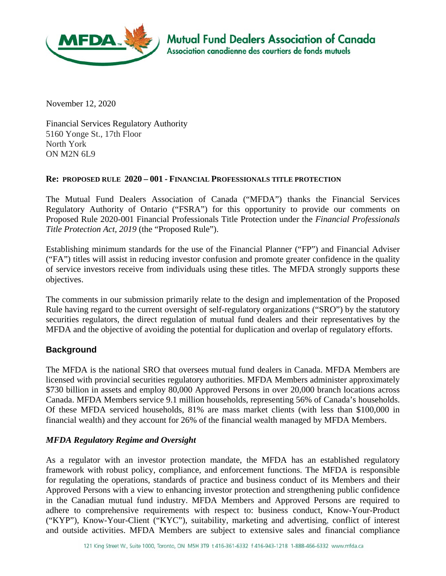

November 12, 2020

Financial Services Regulatory Authority 5160 Yonge St., 17th Floor North York ON M2N 6L9

### **Re: PROPOSED RULE 2020 – 001 - FINANCIAL PROFESSIONALS TITLE PROTECTION**

The Mutual Fund Dealers Association of Canada ("MFDA") thanks the Financial Services Regulatory Authority of Ontario ("FSRA") for this opportunity to provide our comments on Proposed Rule 2020-001 Financial Professionals Title Protection under the *Financial Professionals Title Protection Act, 2019* (the "Proposed Rule").

Establishing minimum standards for the use of the Financial Planner ("FP") and Financial Adviser ("FA") titles will assist in reducing investor confusion and promote greater confidence in the quality of service investors receive from individuals using these titles. The MFDA strongly supports these objectives.

The comments in our submission primarily relate to the design and implementation of the Proposed Rule having regard to the current oversight of self-regulatory organizations ("SRO") by the statutory securities regulators, the direct regulation of mutual fund dealers and their representatives by the MFDA and the objective of avoiding the potential for duplication and overlap of regulatory efforts.

## **Background**

The MFDA is the national SRO that oversees mutual fund dealers in Canada. MFDA Members are licensed with provincial securities regulatory authorities. MFDA Members administer approximately \$730 billion in assets and employ 80,000 Approved Persons in over 20,000 branch locations across Canada. MFDA Members service 9.1 million households, representing 56% of Canada's households. Of these MFDA serviced households, 81% are mass market clients (with less than \$100,000 in financial wealth) and they account for 26% of the financial wealth managed by MFDA Members.

## *MFDA Regulatory Regime and Oversight*

As a regulator with an investor protection mandate, the MFDA has an established regulatory framework with robust policy, compliance, and enforcement functions. The MFDA is responsible for regulating the operations, standards of practice and business conduct of its Members and their Approved Persons with a view to enhancing investor protection and strengthening public confidence in the Canadian mutual fund industry. MFDA Members and Approved Persons are required to adhere to comprehensive requirements with respect to: business conduct, Know-Your-Product ("KYP"), Know-Your-Client ("KYC"), suitability, marketing and advertising, conflict of interest and outside activities. MFDA Members are subject to extensive sales and financial compliance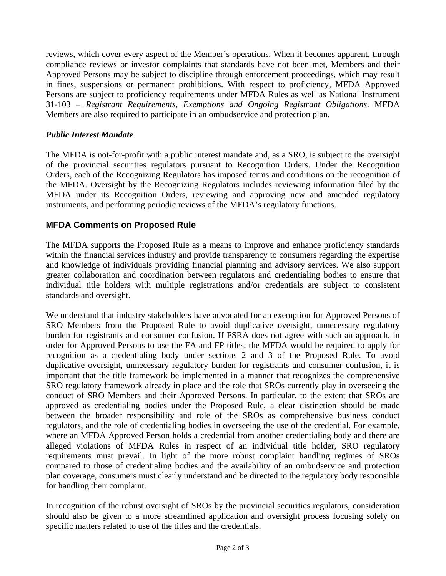reviews, which cover every aspect of the Member's operations. When it becomes apparent, through compliance reviews or investor complaints that standards have not been met, Members and their Approved Persons may be subject to discipline through enforcement proceedings, which may result in fines, suspensions or permanent prohibitions. With respect to proficiency, MFDA Approved Persons are subject to proficiency requirements under MFDA Rules as well as National Instrument 31-103 – *Registrant Requirements, Exemptions and Ongoing Registrant Obligations*. MFDA Members are also required to participate in an ombudservice and protection plan.

## *Public Interest Mandate*

The MFDA is not-for-profit with a public interest mandate and, as a SRO, is subject to the oversight of the provincial securities regulators pursuant to Recognition Orders. Under the Recognition Orders, each of the Recognizing Regulators has imposed terms and conditions on the recognition of the MFDA. Oversight by the Recognizing Regulators includes reviewing information filed by the MFDA under its Recognition Orders, reviewing and approving new and amended regulatory instruments, and performing periodic reviews of the MFDA's regulatory functions.

# **MFDA Comments on Proposed Rule**

The MFDA supports the Proposed Rule as a means to improve and enhance proficiency standards within the financial services industry and provide transparency to consumers regarding the expertise and knowledge of individuals providing financial planning and advisory services. We also support greater collaboration and coordination between regulators and credentialing bodies to ensure that individual title holders with multiple registrations and/or credentials are subject to consistent standards and oversight.

We understand that industry stakeholders have advocated for an exemption for Approved Persons of SRO Members from the Proposed Rule to avoid duplicative oversight, unnecessary regulatory burden for registrants and consumer confusion. If FSRA does not agree with such an approach, in order for Approved Persons to use the FA and FP titles, the MFDA would be required to apply for recognition as a credentialing body under sections 2 and 3 of the Proposed Rule. To avoid duplicative oversight, unnecessary regulatory burden for registrants and consumer confusion, it is important that the title framework be implemented in a manner that recognizes the comprehensive SRO regulatory framework already in place and the role that SROs currently play in overseeing the conduct of SRO Members and their Approved Persons. In particular, to the extent that SROs are approved as credentialing bodies under the Proposed Rule, a clear distinction should be made between the broader responsibility and role of the SROs as comprehensive business conduct regulators, and the role of credentialing bodies in overseeing the use of the credential. For example, where an MFDA Approved Person holds a credential from another credentialing body and there are alleged violations of MFDA Rules in respect of an individual title holder, SRO regulatory requirements must prevail. In light of the more robust complaint handling regimes of SROs compared to those of credentialing bodies and the availability of an ombudservice and protection plan coverage, consumers must clearly understand and be directed to the regulatory body responsible for handling their complaint.

In recognition of the robust oversight of SROs by the provincial securities regulators, consideration should also be given to a more streamlined application and oversight process focusing solely on specific matters related to use of the titles and the credentials.